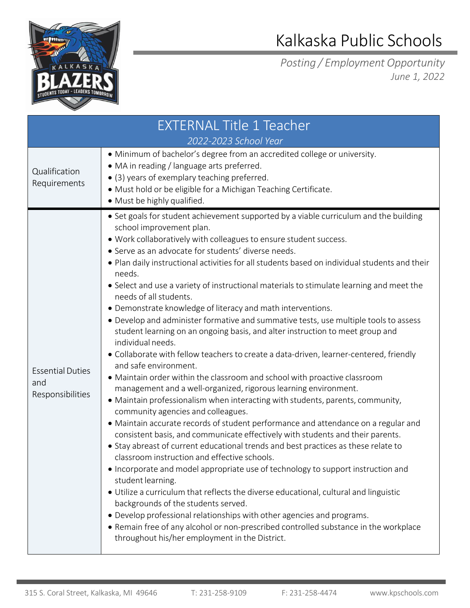

## Kalkaska Public Schools

*Posting / Employment Opportunity June 1, 2022*

| <b>EXTERNAL Title 1 Teacher</b><br>2022-2023 School Year |                                                                                                                                                                                                                                                                                                                                                                                                                                                                                                                                                                                                                                                                                                                                                                                                                                                                                                                                                                                                                                                                                                                                                                                                                                                                                                                                                                                                                                                                                                                                                                                                                                                                                                                                                                                                                                                                                                                   |  |
|----------------------------------------------------------|-------------------------------------------------------------------------------------------------------------------------------------------------------------------------------------------------------------------------------------------------------------------------------------------------------------------------------------------------------------------------------------------------------------------------------------------------------------------------------------------------------------------------------------------------------------------------------------------------------------------------------------------------------------------------------------------------------------------------------------------------------------------------------------------------------------------------------------------------------------------------------------------------------------------------------------------------------------------------------------------------------------------------------------------------------------------------------------------------------------------------------------------------------------------------------------------------------------------------------------------------------------------------------------------------------------------------------------------------------------------------------------------------------------------------------------------------------------------------------------------------------------------------------------------------------------------------------------------------------------------------------------------------------------------------------------------------------------------------------------------------------------------------------------------------------------------------------------------------------------------------------------------------------------------|--|
| Qualification<br>Requirements                            | • Minimum of bachelor's degree from an accredited college or university.<br>• MA in reading / language arts preferred.<br>• (3) years of exemplary teaching preferred.<br>· Must hold or be eligible for a Michigan Teaching Certificate.<br>• Must be highly qualified.                                                                                                                                                                                                                                                                                                                                                                                                                                                                                                                                                                                                                                                                                                                                                                                                                                                                                                                                                                                                                                                                                                                                                                                                                                                                                                                                                                                                                                                                                                                                                                                                                                          |  |
| <b>Essential Duties</b><br>and<br>Responsibilities       | • Set goals for student achievement supported by a viable curriculum and the building<br>school improvement plan.<br>. Work collaboratively with colleagues to ensure student success.<br>• Serve as an advocate for students' diverse needs.<br>. Plan daily instructional activities for all students based on individual students and their<br>needs.<br>• Select and use a variety of instructional materials to stimulate learning and meet the<br>needs of all students.<br>• Demonstrate knowledge of literacy and math interventions.<br>• Develop and administer formative and summative tests, use multiple tools to assess<br>student learning on an ongoing basis, and alter instruction to meet group and<br>individual needs.<br>· Collaborate with fellow teachers to create a data-driven, learner-centered, friendly<br>and safe environment.<br>• Maintain order within the classroom and school with proactive classroom<br>management and a well-organized, rigorous learning environment.<br>• Maintain professionalism when interacting with students, parents, community,<br>community agencies and colleagues.<br>• Maintain accurate records of student performance and attendance on a regular and<br>consistent basis, and communicate effectively with students and their parents.<br>• Stay abreast of current educational trends and best practices as these relate to<br>classroom instruction and effective schools.<br>• Incorporate and model appropriate use of technology to support instruction and<br>student learning.<br>• Utilize a curriculum that reflects the diverse educational, cultural and linguistic<br>backgrounds of the students served.<br>· Develop professional relationships with other agencies and programs.<br>• Remain free of any alcohol or non-prescribed controlled substance in the workplace<br>throughout his/her employment in the District. |  |